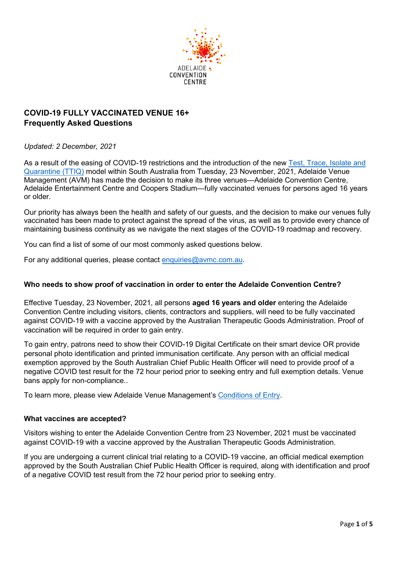

# **COVID-19 FULLY VACCINATED VENUE 16+ Frequently Asked Questions**

# *Updated: 2 December, 2021*

As a result of the easing of COVID-19 restrictions and the introduction of the new Test, Trace, Isolate and [Quarantine \(TTIQ\)](https://www.sahealth.sa.gov.au/wps/wcm/connect/public+content/sa+health+internet/conditions/infectious+diseases/covid-19/testing+and+tracing/test%2C+trace%2C+isolate+and+quarantine) model within South Australia from Tuesday, 23 November, 2021, Adelaide Venue Management (AVM) has made the decision to make its three venues—Adelaide Convention Centre, Adelaide Entertainment Centre and Coopers Stadium—fully vaccinated venues for persons aged 16 years or older.

Our priority has always been the health and safety of our guests, and the decision to make our venues fully vaccinated has been made to protect against the spread of the virus, as well as to provide every chance of maintaining business continuity as we navigate the next stages of the COVID-19 roadmap and recovery.

You can find a list of some of our most commonly asked questions below.

For any additional queries, please contact [enquiries@avmc.com.au.](mailto:enquiries@avmc.com.au)

#### **Who needs to show proof of vaccination in order to enter the Adelaide Convention Centre?**

Effective Tuesday, 23 November, 2021, all persons **aged 16 years and older** entering the Adelaide Convention Centre including visitors, clients, contractors and suppliers, will need to be fully vaccinated against COVID-19 with a vaccine approved by the Australian Therapeutic Goods Administration. Proof of vaccination will be required in order to gain entry.

To gain entry, patrons need to show their COVID-19 Digital Certificate on their smart device OR provide personal photo identification and printed immunisation certificate. Any person with an official medical exemption approved by the South Australian Chief Public Health Officer will need to provide proof of a negative COVID test result for the 72 hour period prior to seeking entry and full exemption details. Venue bans apply for non-compliance..

To learn more, please view Adelaide Venue Management's [Conditions of Entry.](https://www.avmc.com.au/wp-content/uploads/2021/11/Adelaide-Venue-Management-Conditions-of-Entry-23-November-2021.pdf)

#### **What vaccines are accepted?**

Visitors wishing to enter the Adelaide Convention Centre from 23 November, 2021 must be vaccinated against COVID-19 with a vaccine approved by the Australian Therapeutic Goods Administration.

If you are undergoing a current clinical trial relating to a COVID-19 vaccine, an official medical exemption approved by the South Australian Chief Public Health Officer is required, along with identification and proof of a negative COVID test result from the 72 hour period prior to seeking entry.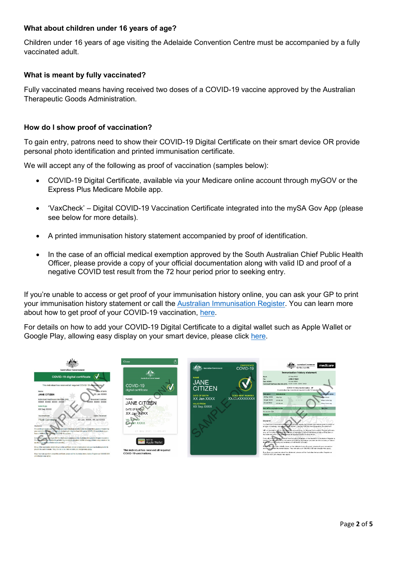# **What about children under 16 years of age?**

Children under 16 years of age visiting the Adelaide Convention Centre must be accompanied by a fully vaccinated adult.

# **What is meant by fully vaccinated?**

Fully vaccinated means having received two doses of a COVID-19 vaccine approved by the Australian Therapeutic Goods Administration.

### **How do I show proof of vaccination?**

To gain entry, patrons need to show their COVID-19 Digital Certificate on their smart device OR provide personal photo identification and printed immunisation certificate.

We will accept any of the following as proof of vaccination (samples below):

- COVID-19 Digital Certificate, available via your Medicare online account through myGOV or the Express Plus Medicare Mobile app.
- 'VaxCheck' Digital COVID-19 Vaccination Certificate integrated into the mySA Gov App (please see below for more details).
- A printed immunisation history statement accompanied by proof of identification.
- In the case of an official medical exemption approved by the South Australian Chief Public Health Officer, please provide a copy of your official documentation along with valid ID and proof of a negative COVID test result from the 72 hour period prior to seeking entry.

If you're unable to access or get proof of your immunisation history online, you can ask your GP to print your immunisation history statement or call the [Australian Immunisation Register.](https://www.servicesaustralia.gov.au/individuals/services/medicare/australian-immunisation-register) You can learn more about how to get proof of your COVID-19 vaccination, [here.](https://www.servicesaustralia.gov.au/individuals/subjects/getting-help-during-coronavirus-covid-19/covid-19-vaccinations/how-get-proof)

For details on how to add your COVID-19 Digital Certificate to a digital wallet such as Apple Wallet or Google Play, allowing easy display on your smart device, please click [here.](https://www.servicesaustralia.gov.au/individuals/subjects/getting-help-during-coronavirus-covid-19/covid-19-vaccinations/how-get-help-proof/help-storing-your-proof-your-device/add-your-digital-certificate-digital-wallet)

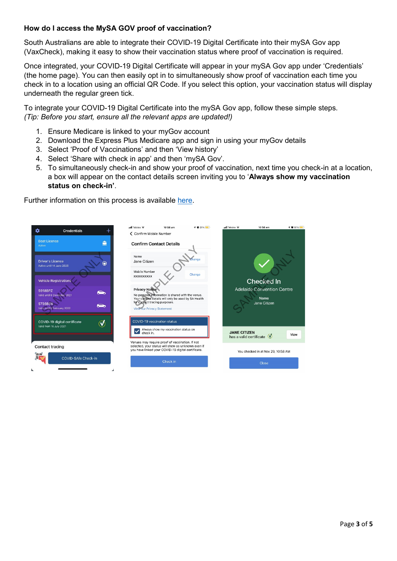# **How do I access the MySA GOV proof of vaccination?**

South Australians are able to integrate their COVID-19 Digital Certificate into their mySA Gov app (VaxCheck), making it easy to show their vaccination status where proof of vaccination is required.

Once integrated, your COVID-19 Digital Certificate will appear in your mySA Gov app under 'Credentials' (the home page). You can then easily opt in to simultaneously show proof of vaccination each time you check in to a location using an official QR Code. If you select this option, your vaccination status will display underneath the regular green tick.

To integrate your COVID-19 Digital Certificate into the mySA Gov app, follow these simple steps. *(Tip: Before you start, ensure all the relevant apps are updated!)*

- 1. Ensure Medicare is linked to your myGov account
- 2. Download the Express Plus Medicare app and sign in using your myGov details
- 3. Select 'Proof of Vaccinations' and then 'View history'
- 4. Select 'Share with check in app' and then 'mySA Gov'.
- 5. To simultaneously check-in and show your proof of vaccination, next time you check-in at a location, a box will appear on the contact details screen inviting you to '**Always show my vaccination status on check-in'**.

Further information on this process is available [here.](https://www.covid-19.sa.gov.au/vaccination/adding-proof-of-covid-19-vaccination-to-mysa-gov)

| ✿<br><b>Credentials</b>                                                 | $ul$ Telstra $\widehat{\mathbf{z}}$<br>10:58 am<br>← Confirm Mobile Number                                                                                  | $-4$ M 81%<br>$ul$ Telstra $\widehat{\mathbf{z}}$ | → ■ 81%<br>10:58 am                          |
|-------------------------------------------------------------------------|-------------------------------------------------------------------------------------------------------------------------------------------------------------|---------------------------------------------------|----------------------------------------------|
| <b>Boat Licence</b><br>ė<br><b>Active</b>                               | <b>Confirm Contact Details</b>                                                                                                                              |                                                   |                                              |
| <b>Driver's Licence</b><br>⊕<br>Active until 14 June 2025               | Name<br>Jane Citizen<br>Mobile Number                                                                                                                       | hange                                             |                                              |
| <b>Vehicle Registrations</b>                                            | <b>XXXXXXXXXX</b>                                                                                                                                           | Change                                            | Checked In                                   |
| <b>S918BPZ</b><br>◚<br>Valid until 8 December 2021                      | <b>Privacy Notice</b><br>No personal information is shared with the venue.<br>Your contact details will only be used by SA Health                           |                                                   | <b>Adelaide Convention Centre</b><br>Name    |
| <b>S736BSR</b><br>e<br>Valid until & February 2022                      | for contact tracing purposes.<br>View our Privacy Statement                                                                                                 |                                                   | Jane Citizen                                 |
| COVID-19 digital certificate<br>$\heartsuit$<br>Valid from 16 July 2021 | COVID-19 vaccination status                                                                                                                                 |                                                   |                                              |
|                                                                         | Always show my vaccination status on<br>check in.                                                                                                           | <b>JANE CITIZEN</b>                               | View<br>has a valid certificate $\heartsuit$ |
| Contact tracing                                                         | Venues may require proof of vaccination. If not<br>selected, your status will show as unknown even if<br>you have linked your COVID-19 digital certificate. |                                                   | You checked in at Nov 29, 10:58 AM           |
| ee<br>Ek<br>COVID-SAfe Check-in                                         | Check in                                                                                                                                                    |                                                   | Close                                        |
|                                                                         |                                                                                                                                                             |                                                   |                                              |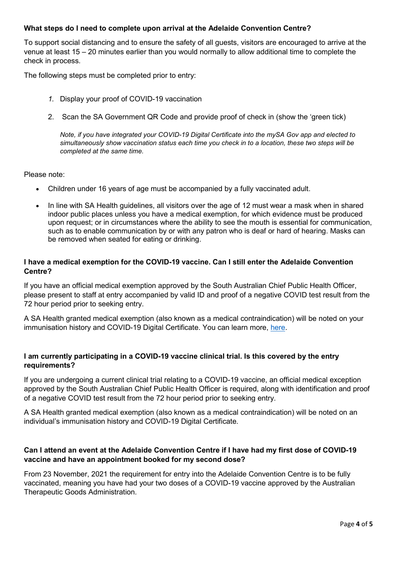### **What steps do I need to complete upon arrival at the Adelaide Convention Centre?**

To support social distancing and to ensure the safety of all guests, visitors are encouraged to arrive at the venue at least 15 – 20 minutes earlier than you would normally to allow additional time to complete the check in process.

The following steps must be completed prior to entry:

- *1.* Display your proof of COVID-19 vaccination
- 2. Scan the SA Government QR Code and provide proof of check in (show the 'green tick)

*Note, if you have integrated your COVID-19 Digital Certificate into the mySA Gov app and elected to simultaneously show vaccination status each time you check in to a location, these two steps will be completed at the same time.*

Please note:

- Children under 16 years of age must be accompanied by a fully vaccinated adult.
- In line with SA Health guidelines, all visitors over the age of 12 must wear a mask when in shared indoor public places unless you have a medical exemption, for which evidence must be produced upon request; or in circumstances where the ability to see the mouth is essential for communication, such as to enable communication by or with any patron who is deaf or hard of hearing. Masks can be removed when seated for eating or drinking.

### **I have a medical exemption for the COVID-19 vaccine. Can I still enter the Adelaide Convention Centre?**

If you have an official medical exemption approved by the South Australian Chief Public Health Officer, please present to staff at entry accompanied by valid ID and proof of a negative COVID test result from the 72 hour period prior to seeking entry.

A SA Health granted medical exemption (also known as a medical contraindication) will be noted on your immunisation history and COVID-19 Digital Certificate. You can learn more, [here.](https://www.servicesaustralia.gov.au/individuals/subjects/getting-help-during-coronavirus-covid-19/covid-19-vaccinations/how-get-proof/if-you-cant-have-covid-19-vaccination-medical-reasons)

# **I am currently participating in a COVID-19 vaccine clinical trial. Is this covered by the entry requirements?**

If you are undergoing a current clinical trial relating to a COVID-19 vaccine, an official medical exception approved by the South Australian Chief Public Health Officer is required, along with identification and proof of a negative COVID test result from the 72 hour period prior to seeking entry.

A SA Health granted medical exemption (also known as a medical contraindication) will be noted on an individual's immunisation history and COVID-19 Digital Certificate.

# **Can I attend an event at the Adelaide Convention Centre if I have had my first dose of COVID-19 vaccine and have an appointment booked for my second dose?**

From 23 November, 2021 the requirement for entry into the Adelaide Convention Centre is to be fully vaccinated, meaning you have had your two doses of a COVID-19 vaccine approved by the Australian Therapeutic Goods Administration.